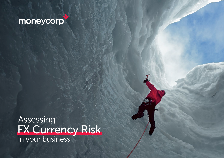# moneycorp

Assessing FX Currency Risk in your business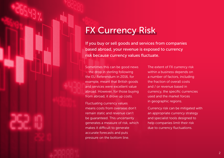# FX Currency Risk

If you buy or sell goods and services from companies based abroad, your revenue is exposed to currency risk because currency values fluctuate.

Sometimes this can be good news – the drop in sterling following the EU Referendum in 2016, for example, meant that British goods and services were excellent value abroad. However, for those buying from abroad, it drove up costs.

Fluctuating currency values means costs from overseas don't remain static and revenue can't be guaranteed. This uncertainty generates a measure of risk, which makes it difficult to generate accurate forecasts and puts pressure on the bottom line.

The extent of FX currency risk within a business depends on a number of factors, including the fraction of overall costs and / or revenue based in currency, the specific currencies used and the market forces in geographic regions.

Currency risk can be mitigated with an appropriate currency strategy and specialist tools designed to help companies limit their risk due to currency fluctuations.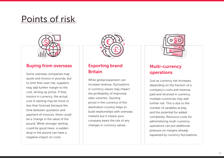# Points of risk



### Buying from overseas

Some overseas companies may quote and invoice in pounds, but to limit their own risk, suppliers may add further margin to the cost, driving up prices. If they invoice in currency, the actual cost in sterling may be more or less than forecast because the time between quotation and payment of invoices, there could be a change in the value of the pound. While stronger sterling could be good news, a sudden drop in the pound can have a negative impact on costs.



# Exporting brand **Britain**

While global expansion can increase revenue, fluctuations in currency values may impact the profitability of improved sales volumes. Quoting prices in the currency of the destination country helps to build relationships with overseas markets but it means your company bears the risk of any changes in currency values.



# Multi-currency operations

Just as currency risk increases depending on the fraction of a company's costs and revenue paid and received in currency, multiple currencies may add further risk. This is due to the number of variables at play and the potential for added complexity. Resource costs for administering multi-currency operations can put additional pressure on margins already squeezed by currency fluctuations.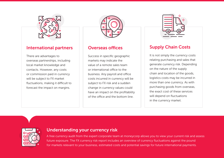

#### International partners

There are advantages to overseas partnerships, including local market knowledge and contacts. However, any costs or commission paid in currency will be subject to FX market fluctuations, making it difficult to forecast the impact on margins.



### Overseas offices

Success in specific geographic markets may indicate the value of a remote sales team or international office to the business. Any payroll and office costs incurred in currency will be subject to FX risk and a sudden change in currency values could have an impact on the profitability of the office and the bottom line.



# Supply Chain Costs

It is not simply the currency costs relating purchasing and sales that generate currency risk. Depending on the nature of the supply chain and location of the goods, logistics costs may be incurred in more than one currency. As with purchasing goods from overseas, the exact cost of these services will depend on fluctuations in the currency market.



#### Understanding your currency risk

A free currency audit from the expert corporate team at moneycorp allows you to view your current risk and assess future exposure. The FX currency risk report includes an overview of currency fluctuations against the pound for markets relevant to your business, estimated costs and potential savings for future international payments.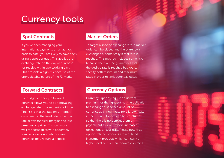# Currency tools

### Spot Contracts

If you've been managing your international payments on an ad hoc basis to date, you are likely to have been using a spot contract. This applies the exchange rate on the day of purchase for receipt within two working days. This presents a high risk because of the unpredictable nature of the FX market.

### Forward Contracts

For budget certainty, a forward contract allows you to fix a prevailing exchange rate for a set period of time. The risk is that the rate may improve compared to the fixed rate but a fixed rate allows for clear margins and less pressure on prices. This can work well for companies with accurately forecast overseas costs. Forward contracts may require a deposit.

### Market Orders

To target a specific exchange rate, a market order can be placed and the currency is exchanged automatically if that rate is reached. This method includes some risk, because there are no guarantees that the desired rate is reached but you can specify both minimum and maximum rates in order to limit potential losses.

## Currency Options

Currency Options require an upfront premium for the right but not the obligation to exchange a specified amount of currency at a known rate for a known date in the future. Options can be structured so that there is no upfront premium payable but this will involve increased obligations and/or risks. Please note that option-related products are regulated investment products which can carry a higher level of risk than forward contracts.